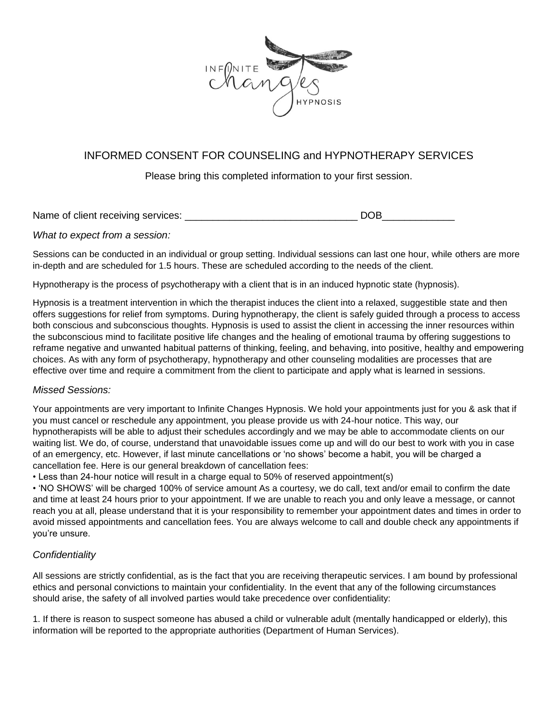

# INFORMED CONSENT FOR COUNSELING and HYPNOTHERAPY SERVICES

Please bring this completed information to your first session.

Name of client receiving services: \_\_\_\_\_\_\_\_\_\_\_\_\_\_\_\_\_\_\_\_\_\_\_\_\_\_\_\_\_\_\_ DOB\_\_\_\_\_\_\_\_\_\_\_\_\_

### *What to expect from a session:*

Sessions can be conducted in an individual or group setting. Individual sessions can last one hour, while others are more in-depth and are scheduled for 1.5 hours. These are scheduled according to the needs of the client.

Hypnotherapy is the process of psychotherapy with a client that is in an induced hypnotic state (hypnosis).

Hypnosis is a treatment intervention in which the therapist induces the client into a relaxed, suggestible state and then offers suggestions for relief from symptoms. During hypnotherapy, the client is safely guided through a process to access both conscious and subconscious thoughts. Hypnosis is used to assist the client in accessing the inner resources within the subconscious mind to facilitate positive life changes and the healing of emotional trauma by offering suggestions to reframe negative and unwanted habitual patterns of thinking, feeling, and behaving, into positive, healthy and empowering choices. As with any form of psychotherapy, hypnotherapy and other counseling modalities are processes that are effective over time and require a commitment from the client to participate and apply what is learned in sessions.

### *Missed Sessions:*

Your appointments are very important to Infinite Changes Hypnosis. We hold your appointments just for you & ask that if you must cancel or reschedule any appointment, you please provide us with 24-hour notice. This way, our hypnotherapists will be able to adjust their schedules accordingly and we may be able to accommodate clients on our waiting list. We do, of course, understand that unavoidable issues come up and will do our best to work with you in case of an emergency, etc. However, if last minute cancellations or 'no shows' become a habit, you will be charged a cancellation fee. Here is our general breakdown of cancellation fees:

• Less than 24-hour notice will result in a charge equal to 50% of reserved appointment(s)

• 'NO SHOWS' will be charged 100% of service amount As a courtesy, we do call, text and/or email to confirm the date and time at least 24 hours prior to your appointment. If we are unable to reach you and only leave a message, or cannot reach you at all, please understand that it is your responsibility to remember your appointment dates and times in order to avoid missed appointments and cancellation fees. You are always welcome to call and double check any appointments if you're unsure.

## *Confidentiality*

All sessions are strictly confidential, as is the fact that you are receiving therapeutic services. I am bound by professional ethics and personal convictions to maintain your confidentiality. In the event that any of the following circumstances should arise, the safety of all involved parties would take precedence over confidentiality:

1. If there is reason to suspect someone has abused a child or vulnerable adult (mentally handicapped or elderly), this information will be reported to the appropriate authorities (Department of Human Services).